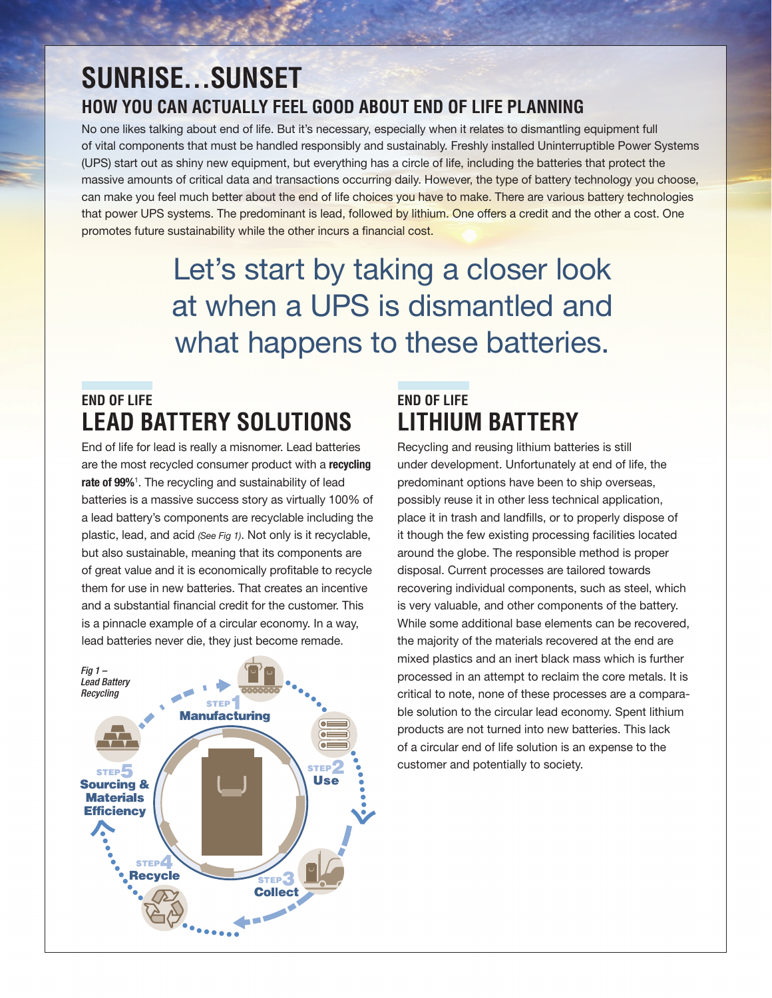## **SUNRISE…SUNSET HOW YOU CAN ACTUALLY FEEL GOOD ABOUT END OF LIFE PLANNING**

No one likes talking about end of life. But it's necessary, especially when it relates to dismantling equipment full of vital components that must be handled responsibly and sustainably. Freshly installed Uninterruptible Power Systems (UPS) start out as shiny new equipment, but everything has a circle of life, including the batteries that protect the massive amounts of critical data and transactions occurring daily. However, the type of battery technology you choose, can make you feel much better about the end of life choices you have to make. There are various battery technologies that power UPS systems. The predominant is lead, followed by lithium. One offers a credit and the other a cost. One promotes future sustainability while the other incurs a financial cost.

# Let's start by taking a closer look at when a UPS is dismantled and what happens to these batteries.

## **END OF LIFE LEAD BATTERY SOLUTIONS**

End of life for lead is really a misnomer. Lead batteries are the most recycled consumer product with a recycling rate of 99%<sup>1</sup>. The recycling and sustainability of lead batteries is a massive success story as virtually 100% of a lead battery's components are recyclable including the plastic, lead, and acid *(See Fig 1)*. Not only is it recyclable, but also sustainable, meaning that its components are of great value and it is economically profitable to recycle them for use in new batteries. That creates an incentive and a substantial financial credit for the customer. This is a pinnacle example of a circular economy. In a way, lead batteries never die, they just become remade.



## **END OF LIFE LITHIUM BATTERY**

Recycling and reusing lithium batteries is still under development. Unfortunately at end of life, the predominant options have been to ship overseas, possibly reuse it in other less technical application, place it in trash and landfills, or to properly dispose of it though the few existing processing facilities located around the globe. The responsible method is proper disposal. Current processes are tailored towards recovering individual components, such as steel, which is very valuable, and other components of the battery. While some additional base elements can be recovered, the majority of the materials recovered at the end are mixed plastics and an inert black mass which is further processed in an attempt to reclaim the core metals. It is critical to note, none of these processes are a comparable solution to the circular lead economy. Spent lithium products are not turned into new batteries. This lack of a circular end of life solution is an expense to the customer and potentially to society.